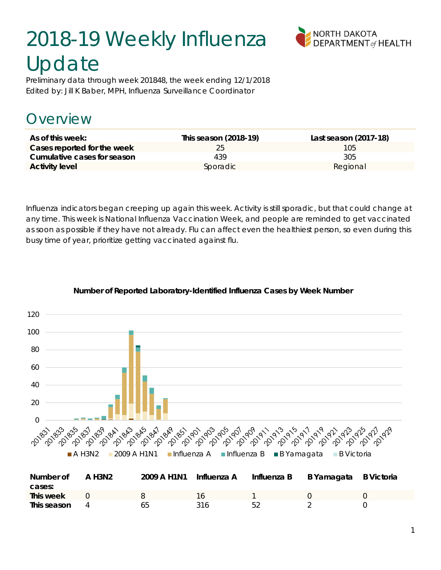# 2018-19 Weekly Influenza Update



Preliminary data through week 201848, the week ending 12/1/2018 Edited by: Jill K Baber, MPH, Influenza Surveillance Coordinator

### **Dverview**

| As of this week:            | This season (2018-19) | Last season (2017-18) |
|-----------------------------|-----------------------|-----------------------|
| Cases reported for the week | 25                    | 105                   |
| Cumulative cases for season | 439                   | 305                   |
| <b>Activity level</b>       | Sporadic              | Regional              |

Influenza indicators began creeping up again this week. Activity is still sporadic, but that could change at any time. This week is National Influenza Vaccination Week, and people are reminded to get vaccinated as soon as possible if they have not already. Flu can affect even the healthiest person, so even during this busy time of year, prioritize getting vaccinated against flu.



#### **Number of Reported Laboratory-Identified Influenza Cases by Week Number**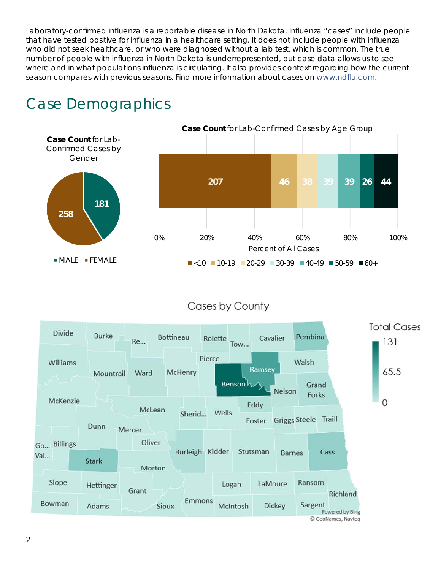Laboratory-confirmed influenza is a reportable disease in North Dakota. Influenza "cases" include people that have tested positive for influenza in a healthcare setting. It does not include people with influenza who did not seek healthcare, or who were diagnosed without a lab test, which is common. The true number of people with influenza in North Dakota is underrepresented, but case data allows us to see where and in what populations influenza is circulating. It also provides context regarding how the current season compares with previous seasons. Find more information about cases on www.ndflu.com.



### Case Demographics

#### Cases by County

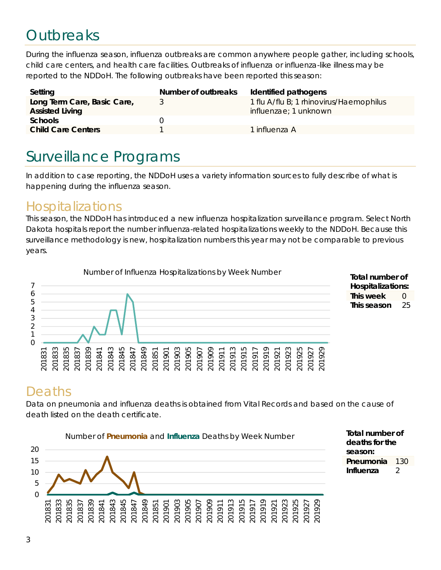## **Outbreaks**

During the influenza season, influenza outbreaks are common anywhere people gather, including schools, child care centers, and health care facilities. Outbreaks of influenza or influenza-like illness may be reported to the NDDoH. The following outbreaks have been reported this season:

| Setting                                               | Number of outbreaks | Identified pathogens                                                     |
|-------------------------------------------------------|---------------------|--------------------------------------------------------------------------|
| Long Term Care, Basic Care,<br><b>Assisted Living</b> |                     | 1 flu A/flu B; 1 rhinovirus/Haemophilus<br><i>influenzae</i> ; 1 unknown |
| <b>Schools</b>                                        |                     |                                                                          |
| <b>Child Care Centers</b>                             |                     | 1 influenza A                                                            |

### Surveillance Programs

In addition to case reporting, the NDDoH uses a variety information sources to fully describe of what is happening during the influenza season.

#### Hospitalizations

This season, the NDDoH has introduced a new influenza hospitalization surveillance program. Select North Dakota hospitals report the number influenza-related hospitalizations weekly to the NDDoH. Because this surveillance methodology is new, hospitalization numbers this year may not be comparable to previous years.





### Deaths

Data on pneumonia and influenza deaths is obtained from Vital Records and based on the cause of death listed on the death certificate.



**Total number of deaths for the season: Pneumonia** 130 **Influenza** 2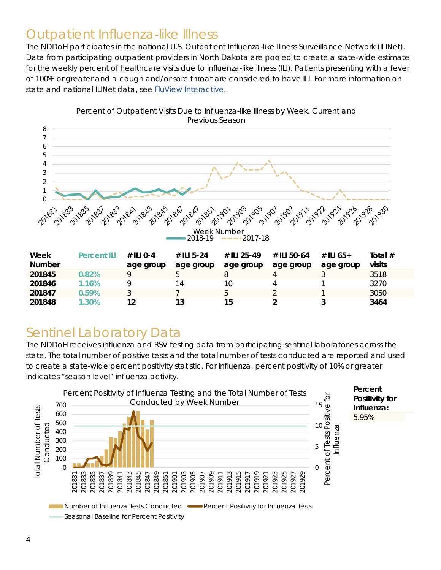#### Outpatient Influenza-like Illness

The NDDoH participates in the national U.S. Outpatient Influenza-like Illness Surveillance Network (ILINet). Data from participating outpatient providers in North Dakota are pooled to create a state-wide estimate for the weekly percent of healthcare visits due to influenza-like illness (ILI). Patients presenting with a fever of 100ºF or greater and a cough and/or sore throat are considered to have ILI. For more information on state and national ILINet data, see FluView Interactive.



Percent of Outpatient Visits Due to Influenza-like Illness by Week, Current and Previous Season

### Sentinel Laboratory Data

The NDDoH receives influenza and RSV testing data from participating sentinel laboratories across the state. The total number of positive tests and the total number of tests conducted are reported and used to create a state-wide percent positivity statistic. For influenza, percent positivity of 10% or greater indicates "season level" influenza activity.

**201847 0.59%** 3 7 5 2 1 3050 **201848 1.30% 12 13 15 2 3 3464** 

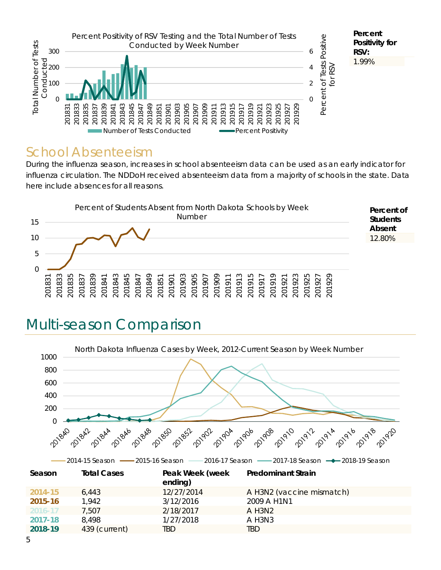

#### School Absenteeism

During the influenza season, increases in school absenteeism data can be used as an early indicator for influenza circulation. The NDDoH received absenteeism data from a majority of schools in the state. Data here include absences for all reasons.



### Multi-season Comparison